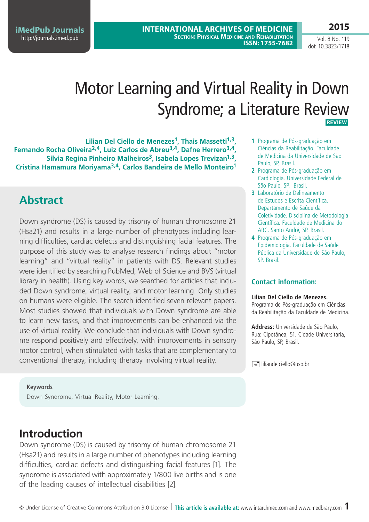**International Archives of Medicine Section: Physical Medicine and Rehabilitation ISSN: 1755-7682** 

**iMedPub Journals** <http://journals.imed.pub>

Vol. 8 No. 119 doi: 10.3823/1718

**2015**

# Motor Learning and Virtual Reality in Down Syndrome; a Literature Review **Review**

**Lilian Del Ciello de Menezes1, Thais Massetti1,3, Fernando Rocha Oliveira2,4, Luiz Carlos de Abreu3,4, Dafne Herrero3,4, Silvia Regina Pinheiro Malheiros3, Isabela Lopes Trevizan1,3, Cristina Hamamura Moriyama3,4, Carlos Bandeira de Mello Monteiro1**

## **Abstract**

Down syndrome (DS) is caused by trisomy of human chromosome 21 (Hsa21) and results in a large number of phenotypes including learning difficulties, cardiac defects and distinguishing facial features. The purpose of this study was to analyse research findings about "motor learning" and "virtual reality" in patients with DS. Relevant studies were identified by searching PubMed, Web of Science and BVS (virtual library in health). Using key words, we searched for articles that included Down syndrome, virtual reality, and motor learning. Only studies on humans were eligible. The search identified seven relevant papers. Most studies showed that individuals with Down syndrome are able to learn new tasks, and that improvements can be enhanced via the use of virtual reality. We conclude that individuals with Down syndrome respond positively and effectively, with improvements in sensory motor control, when stimulated with tasks that are complementary to conventional therapy, including therapy involving virtual reality.

**1** Programa de Pós-graduação em Ciências da Reabilitação. Faculdade de Medicina da Universidade de São Paulo, SP, Brasil.

- **2** Programa de Pós-graduação em Cardiologia. Universidade Federal de São Paulo, SP, Brasil.
- **3** Laboratório de Delineamento de Estudos e Escrita Científica. Departamento de Saúde da Coletividade. Disciplina de Metodologia Científica. Faculdade de Medicina do ABC. Santo André, SP. Brasil.
- **4** Programa de Pós-graduação em Epidemiologia. Faculdade de Saúde Pública da Universidade de São Paulo, SP. Brasil.

### **Contact information:**

#### **Lilian Del Ciello de Menezes.**

Programa de Pós-graduação em Ciências da Reabilitação da Faculdade de Medicina.

**Address:** Universidade de São Paulo, Rua: Cipotânea, 51. Cidade Universitária, São Paulo, SP, Brasil.

 $\equiv$  liliandelciello@usp.br

#### **Keywords**

Down Syndrome, Virtual Reality, Motor Learning.

## **Introduction**

Down syndrome (DS) is caused by trisomy of human chromosome 21 (Hsa21) and results in a large number of phenotypes including learning difficulties, cardiac defects and distinguishing facial features [1]. The syndrome is associated with approximately 1/800 live births and is one of the leading causes of intellectual disabilities [2].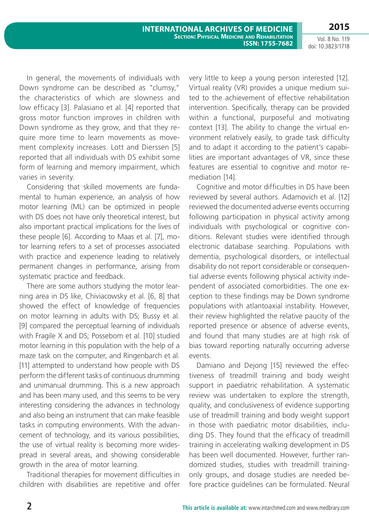Vol. 8 No. 119 doi: 10.3823/1718

In general, the movements of individuals with Down syndrome can be described as "clumsy," the characteristics of which are slowness and low efficacy [3]. Palasiano et al. [4] reported that gross motor function improves in children with Down syndrome as they grow, and that they require more time to learn movements as movement complexity increases. Lott and Dierssen [5] reported that all individuals with DS exhibit some form of learning and memory impairment, which varies in severity.

Considering that skilled movements are fundamental to human experience, an analysis of how motor learning (ML) can be optimized in people with DS does not have only theoretical interest, but also important practical implications for the lives of these people [6]. According to Maas et al. [7], motor learning refers to a set of processes associated with practice and experience leading to relatively permanent changes in performance, arising from systematic practice and feedback.

There are some authors studying the motor learning area in DS like, Chiviacowsky et al. [6, 8] that showed the effect of knowledge of frequencies on motor learning in adults with DS; Bussy et al. [9] compared the perceptual learning of individuals with Fragile X and DS; Possebom et al. [10] studied motor learning in this population with the help of a maze task on the computer, and Ringenbarch et al. [11] attempted to understand how people with DS perform the different tasks of continuous drumming and unimanual drumming. This is a new approach and has been many used, and this seems to be very interesting considering the advances in technology and also being an instrument that can make feasible tasks in computing environments. With the advancement of technology, and its various possibilities, the use of virtual reality is becoming more widespread in several areas, and showing considerable growth in the area of motor learning.

Traditional therapies for movement difficulties in children with disabilities are repetitive and offer very little to keep a young person interested [12]. Virtual reality (VR) provides a unique medium suited to the achievement of effective rehabilitation intervention. Specifically, therapy can be provided within a functional, purposeful and motivating context [13]. The ability to change the virtual environment relatively easily, to grade task difficulty and to adapt it according to the patient's capabilities are important advantages of VR, since these features are essential to cognitive and motor remediation [14].

Cognitive and motor difficulties in DS have been reviewed by several authors. Adamovich et al. [12] reviewed the documented adverse events occurring following participation in physical activity among individuals with psychological or cognitive conditions. Relevant studies were identified through electronic database searching. Populations with dementia, psychological disorders, or intellectual disability do not report considerable or consequential adverse events following physical activity independent of associated comorbidities. The one exception to these findings may be Down syndrome populations with atlantoaxial instability. However, their review highlighted the relative paucity of the reported presence or absence of adverse events, and found that many studies are at high risk of bias toward reporting naturally occurring adverse events.

Damiano and Dejong [15] reviewed the effectiveness of treadmill training and body weight support in paediatric rehabilitation. A systematic review was undertaken to explore the strength, quality, and conclusiveness of evidence supporting use of treadmill training and body weight support in those with paediatric motor disabilities, including DS. They found that the efficacy of treadmill training in accelerating walking development in DS has been well documented. However, further randomized studies, studies with treadmill trainingonly groups, and dosage studies are needed before practice guidelines can be formulated. Neural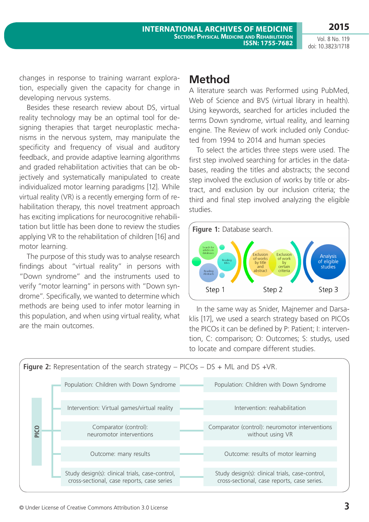**ISSN: 1755-7682** 

Vol. 8 No. 119 doi: 10.3823/1718

**2015**

changes in response to training warrant exploration, especially given the capacity for change in developing nervous systems.

Besides these research review about DS, virtual reality technology may be an optimal tool for designing therapies that target neuroplastic mechanisms in the nervous system, may manipulate the specificity and frequency of visual and auditory feedback, and provide adaptive learning algorithms and graded rehabilitation activities that can be objectively and systematically manipulated to create individualized motor learning paradigms [12]. While virtual reality (VR) is a recently emerging form of rehabilitation therapy, this novel treatment approach has exciting implications for neurocognitive rehabilitation but little has been done to review the studies applying VR to the rehabilitation of children [16] and motor learning.

The purpose of this study was to analyse research findings about "virtual reality" in persons with "Down syndrome" and the instruments used to verify "motor learning" in persons with "Down syndrome". Specifically, we wanted to determine which methods are being used to infer motor learning in this population, and when using virtual reality, what are the main outcomes.

### **Method**

A literature search was Performed using PubMed, Web of Science and BVS (virtual library in health). Using keywords, searched for articles included the terms Down syndrome, virtual reality, and learning engine. The Review of work included only Conducted from 1994 to 2014 and human species

To select the articles three steps were used. The first step involved searching for articles in the databases, reading the titles and abstracts; the second step involved the exclusion of works by title or abstract, and exclusion by our inclusion criteria; the third and final step involved analyzing the eligible studies.



In the same way as Snider, Majnemer and Darsaklis [17], we used a search strategy based on PICOs the PICOs it can be defined by P: Patient; I: intervention, C: comparison; O: Outcomes; S: studys, used to locate and compare different studies.

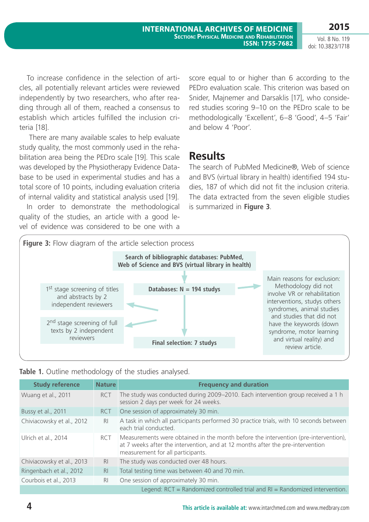To increase confidence in the selection of articles, all potentially relevant articles were reviewed independently by two researchers, who after reading through all of them, reached a consensus to establish which articles fulfilled the inclusion criteria [18].

 There are many available scales to help evaluate study quality, the most commonly used in the rehabilitation area being the PEDro scale [19]. This scale was developed by the Physiotherapy Evidence Database to be used in experimental studies and has a total score of 10 points, including evaluation criteria of internal validity and statistical analysis used [19].

In order to demonstrate the methodological quality of the studies, an article with a good level of evidence was considered to be one with a score equal to or higher than 6 according to the PEDro evaluation scale. This criterion was based on Snider, Majnemer and Darsaklis [17], who considered studies scoring 9–10 on the PEDro scale to be methodologically 'Excellent', 6–8 'Good', 4–5 'Fair' and below 4 'Poor'.

### **Results**

The search of PubMed Medicine®, Web of science and BVS (virtual library in health) identified 194 studies, 187 of which did not fit the inclusion criteria. The data extracted from the seven eligible studies is summarized in **Figure 3**.



|  |  |  | Table 1. Outline methodology of the studies analysed. |  |  |  |  |
|--|--|--|-------------------------------------------------------|--|--|--|--|
|--|--|--|-------------------------------------------------------|--|--|--|--|

| <b>Study reference</b>    | <b>Nature</b>                                                                   | <b>Frequency and duration</b>                                                                                                                                                                              |  |  |  |  |
|---------------------------|---------------------------------------------------------------------------------|------------------------------------------------------------------------------------------------------------------------------------------------------------------------------------------------------------|--|--|--|--|
| Wuang et al., 2011        | <b>RCT</b>                                                                      | The study was conducted during 2009–2010. Each intervention group received a 1 h<br>session 2 days per week for 24 weeks.                                                                                  |  |  |  |  |
| Bussy et al., 2011        | RCT                                                                             | One session of approximately 30 min.                                                                                                                                                                       |  |  |  |  |
| Chiviacowsky et al., 2012 | R <sub>l</sub>                                                                  | A task in which all participants performed 30 practice trials, with 10 seconds between<br>each trial conducted.                                                                                            |  |  |  |  |
| Ulrich et al., 2014       | <b>RCT</b>                                                                      | Measurements were obtained in the month before the intervention (pre-intervention),<br>at 7 weeks after the intervention, and at 12 months after the pre-intervention<br>measurement for all participants. |  |  |  |  |
| Chiviacowsky et al., 2013 | R <sub>l</sub>                                                                  | The study was conducted over 48 hours.                                                                                                                                                                     |  |  |  |  |
| Ringenbach et al., 2012   | R <sub>l</sub>                                                                  | Total testing time was between 40 and 70 min.                                                                                                                                                              |  |  |  |  |
| Courbois et al., 2013     | R <sub>l</sub>                                                                  | One session of approximately 30 min.                                                                                                                                                                       |  |  |  |  |
|                           | Legend: $RCT = Randomized controlled trial$ and $RI = Randomized$ intervention. |                                                                                                                                                                                                            |  |  |  |  |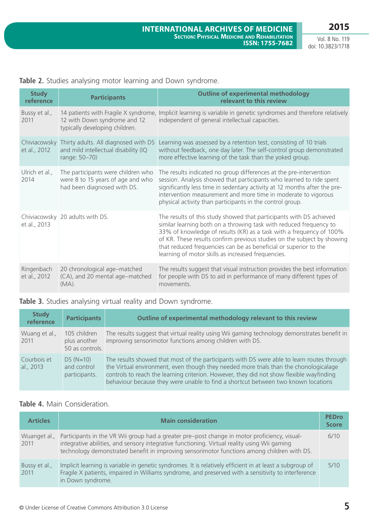Vol. 8 No. 119 doi: 10.3823/1718

| Table 2. Studies analysing motor learning and Down syndrome. |  |  |  |  |  |  |  |  |  |
|--------------------------------------------------------------|--|--|--|--|--|--|--|--|--|
|--------------------------------------------------------------|--|--|--|--|--|--|--|--|--|

| <b>Study</b><br>reference  | <b>Participants</b>                                                                                        | <b>Outline of experimental methodology</b><br>relevant to this review                                                                                                                                                                                                                                                                                                                                                 |
|----------------------------|------------------------------------------------------------------------------------------------------------|-----------------------------------------------------------------------------------------------------------------------------------------------------------------------------------------------------------------------------------------------------------------------------------------------------------------------------------------------------------------------------------------------------------------------|
| Bussy et al.,<br>2011      | 12 with Down syndrome and 12<br>typically developing children.                                             | 14 patients with Fragile X syndrome, Implicit learning is variable in genetic syndromes and therefore relatively<br>independent of general intellectual capacities.                                                                                                                                                                                                                                                   |
| et al., 2012               | Chiviacowsky Thirty adults. All diagnosed with DS<br>and mild intellectual disability (IQ<br>range: 50-70) | Learning was assessed by a retention test, consisting of 10 trials<br>without feedback, one day later. The self-control group demonstrated<br>more effective learning of the task than the yoked group.                                                                                                                                                                                                               |
| Ulrich et al.,<br>2014     | The participants were children who<br>were 8 to 15 years of age and who<br>had been diagnosed with DS.     | The results indicated no group differences at the pre-intervention<br>session. Analysis showed that participants who learned to ride spent<br>significantly less time in sedentary activity at 12 months after the pre-<br>intervention measurement and more time in moderate to vigorous<br>physical activity than participants in the control group.                                                                |
| et al., 2013               | Chiviacowsky 20 adults with DS.                                                                            | The results of this study showed that participants with DS achieved<br>similar learning both on a throwing task with reduced frequency to<br>33% of knowledge of results (KR) as a task with a frequency of 100%<br>of KR. These results confirm previous studies on the subject by showing<br>that reduced frequencies can be as beneficial or superior to the<br>learning of motor skills as increased frequencies. |
| Ringenbach<br>et al., 2012 | 20 chronological age-matched<br>(CA), and 20 mental age-matched<br>$(MA)$ .                                | The results suggest that visual instruction provides the best information<br>for people with DS to aid in performance of many different types of<br>movements.                                                                                                                                                                                                                                                        |

### **Table 3.** Studies analysing virtual reality and Down syndrome.

| <b>Study</b><br>reference | <b>Participants</b>                             | Outline of experimental methodology relevant to this review                                                                                                                                                                                                                                                                                                          |
|---------------------------|-------------------------------------------------|----------------------------------------------------------------------------------------------------------------------------------------------------------------------------------------------------------------------------------------------------------------------------------------------------------------------------------------------------------------------|
| Wuang et al.,<br>2011     | 105 children<br>plus another<br>50 as controls. | The results suggest that virtual reality using Wii gaming technology demonstrates benefit in<br>improving sensorimotor functions among children with DS.                                                                                                                                                                                                             |
| Courbois et<br>al., 2013  | $DS(N=10)$<br>and control<br>participants.      | The results showed that most of the participants with DS were able to learn routes through<br>the Virtual environment, even though they needed more trials than the chonologicalage<br>controls to reach the learning criterion. However, they did not show flexible wayfinding<br>behaviour because they were unable to find a shortcut between two known locations |

### **Table 4.** Main Consideration.

| <b>Articles</b>       | <b>Main consideration</b>                                                                                                                                                                                                                                                                   | <b>PEDro</b><br><b>Score</b> |
|-----------------------|---------------------------------------------------------------------------------------------------------------------------------------------------------------------------------------------------------------------------------------------------------------------------------------------|------------------------------|
| Wuanget al.,<br>2011  | Participants in the VR Wii group had a greater pre-post change in motor proficiency, visual-<br>integrative abilities, and sensory integrative functioning. Virtual reality using Wii gaming<br>technology demonstrated benefit in improving sensorimotor functions among children with DS. | 6/10                         |
| Bussy et al.,<br>2011 | Implicit learning is variable in genetic syndromes. It is relatively efficient in at least a subgroup of<br>Fragile X patients, impaired in Williams syndrome, and preserved with a sensitivity to interference<br>in Down syndrome.                                                        | 5/10                         |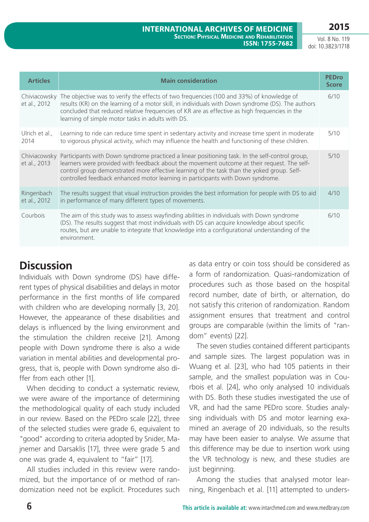Vol. 8 No. 119 doi: 10.3823/1718

| <b>Articles</b>              | <b>Main consideration</b>                                                                                                                                                                                                                                                                                                                                                       | <b>PEDro</b><br><b>Score</b> |
|------------------------------|---------------------------------------------------------------------------------------------------------------------------------------------------------------------------------------------------------------------------------------------------------------------------------------------------------------------------------------------------------------------------------|------------------------------|
| et al., 2012                 | Chiviacowsky The objective was to verify the effects of two frequencies (100 and 33%) of knowledge of<br>results (KR) on the learning of a motor skill, in individuals with Down syndrome (DS). The authors<br>concluded that reduced relative frequencies of KR are as effective as high frequencies in the<br>learning of simple motor tasks in adults with DS.               | 6/10                         |
| Ulrich et al.,<br>2014       | Learning to ride can reduce time spent in sedentary activity and increase time spent in moderate<br>to vigorous physical activity, which may influence the health and functioning of these children.                                                                                                                                                                            | 5/10                         |
| Chiviacowsky<br>et al., 2013 | Participants with Down syndrome practiced a linear positioning task. In the self-control group,<br>learners were provided with feedback about the movement outcome at their request. The self-<br>control group demonstrated more effective learning of the task than the yoked group. Self-<br>controlled feedback enhanced motor learning in participants with Down syndrome. | 5/10                         |
| Ringenbach<br>et al., 2012   | The results suggest that visual instruction provides the best information for people with DS to aid<br>in performance of many different types of movements.                                                                                                                                                                                                                     | 4/10                         |
| Courbois                     | The aim of this study was to assess wayfinding abilities in individuals with Down syndrome<br>(DS). The results suggest that most individuals with DS can acquire knowledge about specific<br>routes, but are unable to integrate that knowledge into a configurational understanding of the<br>environment.                                                                    | 6/10                         |

## **Discussion**

Individuals with Down syndrome (DS) have different types of physical disabilities and delays in motor performance in the first months of life compared with children who are developing normally [3, 20]. However, the appearance of these disabilities and delays is influenced by the living environment and the stimulation the children receive [21]. Among people with Down syndrome there is also a wide variation in mental abilities and developmental progress, that is, people with Down syndrome also differ from each other [1].

When deciding to conduct a systematic review, we were aware of the importance of determining the methodological quality of each study included in our review. Based on the PEDro scale [22], three of the selected studies were grade 6, equivalent to "good" according to criteria adopted by Snider, Majnemer and Darsaklis [17], three were grade 5 and one was grade 4, equivalent to "fair" [17].

All studies included in this review were randomized, but the importance of or method of randomization need not be explicit. Procedures such as data entry or coin toss should be considered as a form of randomization. Quasi-randomization of procedures such as those based on the hospital record number, date of birth, or alternation, do not satisfy this criterion of randomization. Random assignment ensures that treatment and control groups are comparable (within the limits of "random" events) [22].

The seven studies contained different participants and sample sizes. The largest population was in Wuang et al. [23], who had 105 patients in their sample, and the smallest population was in Courbois et al. [24], who only analysed 10 individuals with DS. Both these studies investigated the use of VR, and had the same PEDro score. Studies analysing individuals with DS and motor learning examined an average of 20 individuals, so the results may have been easier to analyse. We assume that this difference may be due to insertion work using the VR technology is new, and these studies are just beginning.

Among the studies that analysed motor learning, Ringenbach et al. [11] attempted to unders-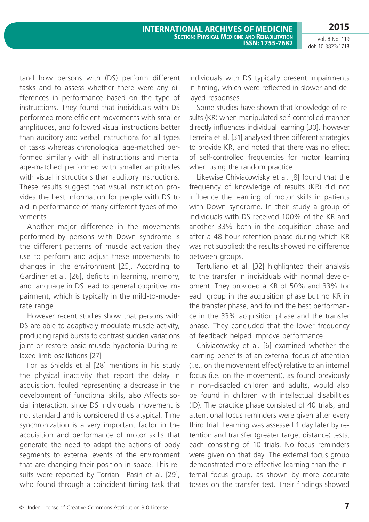Vol. 8 No. 119 doi: 10.3823/1718

tand how persons with (DS) perform different tasks and to assess whether there were any differences in performance based on the type of instructions. They found that individuals with DS performed more efficient movements with smaller amplitudes, and followed visual instructions better than auditory and verbal instructions for all types of tasks whereas chronological age-matched performed similarly with all instructions and mental age-matched performed with smaller amplitudes with visual instructions than auditory instructions. These results suggest that visual instruction provides the best information for people with DS to aid in performance of many different types of movements.

Another major difference in the movements performed by persons with Down syndrome is the different patterns of muscle activation they use to perform and adjust these movements to changes in the environment [25]. According to Gardiner et al. [26], deficits in learning, memory, and language in DS lead to general cognitive impairment, which is typically in the mild-to-moderate range.

However recent studies show that persons with DS are able to adaptively modulate muscle activity, producing rapid bursts to contrast sudden variations joint or restore basic muscle hypotonia During relaxed limb oscillations [27]

For as Shields et al [28] mentions in his study the physical inactivity that report the delay in acquisition, fouled representing a decrease in the development of functional skills, also Affects social interaction, since DS individuals' movement is not standard and is considered thus atypical. Time synchronization is a very important factor in the acquisition and performance of motor skills that generate the need to adapt the actions of body segments to external events of the environment that are changing their position in space. This results were reported by Torriani- Pasin et al. [29], who found through a coincident timing task that

individuals with DS typically present impairments in timing, which were reflected in slower and delayed responses.

Some studies have shown that knowledge of results (KR) when manipulated self-controlled manner directly influences individual learning [30], however Ferreira et al. [31] analysed three different strategies to provide KR, and noted that there was no effect of self-controlled frequencies for motor learning when using the random practice.

Likewise Chiviacowisky et al. [8] found that the frequency of knowledge of results (KR) did not influence the learning of motor skills in patients with Down syndrome. In their study a group of individuals with DS received 100% of the KR and another 33% both in the acquisition phase and after a 48-hour retention phase during which KR was not supplied; the results showed no difference between groups.

Tertuliano et al. [32] highlighted their analysis to the transfer in individuals with normal development. They provided a KR of 50% and 33% for each group in the acquisition phase but no KR in the transfer phase, and found the best performance in the 33% acquisition phase and the transfer phase. They concluded that the lower frequency of feedback helped improve performance.

Chiviacowsky et al. [6] examined whether the learning benefits of an external focus of attention (i.e., on the movement effect) relative to an internal focus (i.e. on the movement), as found previously in non-disabled children and adults, would also be found in children with intellectual disabilities (ID). The practice phase consisted of 40 trials, and attentional focus reminders were given after every third trial. Learning was assessed 1 day later by retention and transfer (greater target distance) tests, each consisting of 10 trials. No focus reminders were given on that day. The external focus group demonstrated more effective learning than the internal focus group, as shown by more accurate tosses on the transfer test. Their findings showed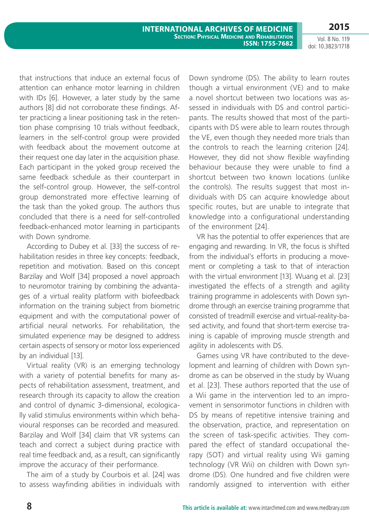that instructions that induce an external focus of attention can enhance motor learning in children with IDs [6]. However, a later study by the same authors [8] did not corroborate these findings. After practicing a linear positioning task in the retention phase comprising 10 trials without feedback, learners in the self-control group were provided with feedback about the movement outcome at their request one day later in the acquisition phase. Each participant in the yoked group received the same feedback schedule as their counterpart in the self-control group. However, the self-control group demonstrated more effective learning of the task than the yoked group. The authors thus concluded that there is a need for self-controlled feedback-enhanced motor learning in participants with Down syndrome.

According to Dubey et al. [33] the success of rehabilitation resides in three key concepts: feedback, repetition and motivation. Based on this concept Barzilay and Wolf [34] proposed a novel approach to neuromotor training by combining the advantages of a virtual reality platform with biofeedback information on the training subject from biometric equipment and with the computational power of artificial neural networks. For rehabilitation, the simulated experience may be designed to address certain aspects of sensory or motor loss experienced by an individual [13].

Virtual reality (VR) is an emerging technology with a variety of potential benefits for many aspects of rehabilitation assessment, treatment, and research through its capacity to allow the creation and control of dynamic 3-dimensional, ecologically valid stimulus environments within which behavioural responses can be recorded and measured. Barzilay and Wolf [34] claim that VR systems can teach and correct a subject during practice with real time feedback and, as a result, can significantly improve the accuracy of their performance.

The aim of a study by Courbois et al. [24] was to assess wayfinding abilities in individuals with Down syndrome (DS). The ability to learn routes though a virtual environment (VE) and to make a novel shortcut between two locations was assessed in individuals with DS and control participants. The results showed that most of the participants with DS were able to learn routes through the VE, even though they needed more trials than the controls to reach the learning criterion [24]. However, they did not show flexible wayfinding behaviour because they were unable to find a shortcut between two known locations (unlike the controls). The results suggest that most individuals with DS can acquire knowledge about specific routes, but are unable to integrate that knowledge into a configurational understanding of the environment [24].

VR has the potential to offer experiences that are engaging and rewarding. In VR, the focus is shifted from the individual's efforts in producing a movement or completing a task to that of interaction with the virtual environment [13]. Wuang et al. [23] investigated the effects of a strength and agility training programme in adolescents with Down syndrome through an exercise training programme that consisted of treadmill exercise and virtual-reality-based activity, and found that short-term exercise training is capable of improving muscle strength and agility in adolescents with DS.

Games using VR have contributed to the development and learning of children with Down syndrome as can be observed in the study by Wuang et al. [23]. These authors reported that the use of a Wii game in the intervention led to an improvement in sensorimotor functions in children with DS by means of repetitive intensive training and the observation, practice, and representation on the screen of task-specific activities. They compared the effect of standard occupational therapy (SOT) and virtual reality using Wii gaming technology (VR Wii) on children with Down syndrome (DS). One hundred and five children were randomly assigned to intervention with either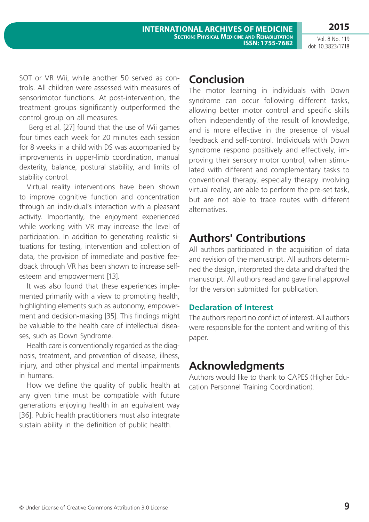SOT or VR Wii, while another 50 served as controls. All children were assessed with measures of sensorimotor functions. At post-intervention, the treatment groups significantly outperformed the control group on all measures.

 Berg et al. [27] found that the use of Wii games four times each week for 20 minutes each session for 8 weeks in a child with DS was accompanied by improvements in upper-limb coordination, manual dexterity, balance, postural stability, and limits of stability control.

Virtual reality interventions have been shown to improve cognitive function and concentration through an individual's interaction with a pleasant activity. Importantly, the enjoyment experienced while working with VR may increase the level of participation. In addition to generating realistic situations for testing, intervention and collection of data, the provision of immediate and positive feedback through VR has been shown to increase selfesteem and empowerment [13].

It was also found that these experiences implemented primarily with a view to promoting health, highlighting elements such as autonomy, empowerment and decision-making [35]. This findings might be valuable to the health care of intellectual diseases, such as Down Syndrome.

Health care is conventionally regarded as the diagnosis, treatment, and prevention of disease, illness, injury, and other physical and mental impairments in humans.

How we define the quality of public health at any given time must be compatible with future generations enjoying health in an equivalent way [36]. Public health practitioners must also integrate sustain ability in the definition of public health.

## **Conclusion**

The motor learning in individuals with Down syndrome can occur following different tasks, allowing better motor control and specific skills often independently of the result of knowledge, and is more effective in the presence of visual feedback and self-control. Individuals with Down syndrome respond positively and effectively, improving their sensory motor control, when stimulated with different and complementary tasks to conventional therapy, especially therapy involving virtual reality, are able to perform the pre-set task, but are not able to trace routes with different alternatives.

# **Authors' Contributions**

All authors participated in the acquisition of data and revision of the manuscript. All authors determined the design, interpreted the data and drafted the manuscript. All authors read and gave final approval for the version submitted for publication.

### **Declaration of Interest**

The authors report no conflict of interest. All authors were responsible for the content and writing of this paper.

# **Acknowledgments**

Authors would like to thank to CAPES (Higher Education Personnel Training Coordination).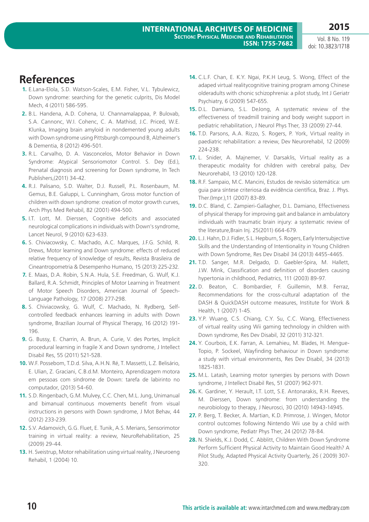## **References**

- **1.** E.Lana-Elola, S.D. Watson-Scales, E.M. Fisher, V.L. Tybulewicz, Down syndrome: searching for the genetic culprits, Dis Model Mech, 4 (2011) 586-595.
- **2.** B.L. Handena, A.D. Cohena, U. Channamalappaa, P. Bulovab, S.A. Cannonc, W.I. Cohenc, C. A. Mathisd, J.C. Priced, W.E. Klunka, Imaging brain amyloid in nondemented young adults with Down syndrome using Pittsburgh compound B, Alzheimer's & Dementia, 8 (2012) 496-501.
- **3.** R.L. Carvalho, D. A. Vasconcelos, Motor Behavior in Down Syndrome: Atypical Sensoriomotor Control. S. Dey (Ed.), Prenatal diagnosis and screening for Down syndrome, In Tech Publishers,(2011) 34-42.
- **4.** R.J. Palisano, S.D. Walter, D.J. Russell, P.L. Rosenbaum, M. Gemus, B.E. Galuppi, L. Cunningham, Gross motor function of children with down syndrome: creation of motor growth curves, Arch Phys Med Rehabil, 82 (2001) 494-500.
- **5.** I.T. Lott, M. Dierssen, Cognitive deficits and associated neurological complications in individuals with Down's syndrome, Lancet Neurol, 9 (2010) 623-633.
- **6.** S. Chiviacowsky, C. Machado, A.C. Marques, J.F.G. Schild, R. Drews, Motor learning and Down syndrome: effects of reduced relative frequency of knowledge of results, Revista Brasileira de Cineantropometria & Desempenho Humano, 15 (2013) 225-232.
- **7.** E. Maas, D.A. Robin, S.N.A. Hula, S.E. Freedman, G. Wulf, K.J. Ballard, R.A. Schmidt, Principles of Motor Learning in Treatment of Motor Speech Disorders, American Journal of Speech-Language Pathology, 17 (2008) 277-298.
- **8.** S. Chiviacowsky, G. Wulf, C. Machado, N. Rydberg, Selfcontrolled feedback enhances learning in adults with Down syndrome, Brazilian Journal of Physical Therapy, 16 (2012) 191- 196.
- **9.** G. Bussy, E. Charrin, A. Brun, A. Curie, V. des Portes, Implicit procedural learning in fragile X and Down syndrome, J Intellect Disabil Res, 55 (2011) 521-528.
- **10.** W.F. Possebom, T.D.d. Silva, A.H.N. Ré, T. Massetti, L.Z. Belisário, E. Ulian, Z. Graciani, C.B.d.M. Monteiro, Aprendizagem motora em pessoas com síndrome de Down: tarefa de labirinto no computador, (2013) 54-60.
- **11.** S.D. Ringenbach, G.M. Mulvey, C.C. Chen, M.L. Jung, Unimanual and bimanual continuous movements benefit from visual instructions in persons with Down syndrome, J Mot Behav, 44 (2012) 233-239.
- **12.** S.V. Adamovich, G.G. Fluet, E. Tunik, A.S. Merians, Sensorimotor training in virtual reality: a review, NeuroRehabilitation, 25 (2009) 29-44.
- **13.** H. Sveistrup, Motor rehabilitation using virtual reality, J Neuroeng Rehabil, 1 (2004) 10.
- **14.** C.L.F. Chan, E. K.Y. Ngai, P.K.H Leug, S. Wong, Effect of the adaped virtual realitycognitive training program among Chinese olderadults with chonic schizophrenia: a pilot study, Int J Geriatr Psychiatry, 6 (2009) 547-655.
- **15.** D.L. Damiano, S.L. DeJong, A systematic review of the effectiveness of treadmill training and body weight support in pediatric rehabilitation, J Neurol Phys Ther, 33 (2009) 27-44.
- **16.** T.D. Parsons, A.A. Rizzo, S. Rogers, P. York, Virtual reality in paediatric rehabilitation: a review, Dev Neurorehabil, 12 (2009) 224-238.
- **17.** L. Snider, A. Majnemer, V. Darsaklis, Virtual reality as a therapeutic modality for children with cerebral palsy, Dev Neurorehabil, 13 (2010) 120-128.
- **18.** R.F. Sampaio, M.C. Mancini, Estudos de revisão sistemática: um guia para síntese criteriosa da evidência científica, Braz. J. Phys. Ther.(Impr.),11 (2007) 83-89.
- **19.** D.C. Bland, C. Zampieri-Gallagher, D.L. Damiano, Effectiveness of physical therapy for improving gait and balance in ambulatory individuals with traumatic brain injury: a systematic review of the literature,Brain Inj. 25(2011) 664-679.
- **20.** L.J. Hahn, D.J. Fidler, S.L. Hepburn, S. Rogers, Early Intersubjective Skills and the Understanding of Intentionality in Young Children with Down Syndrome, Res Dev Disabil 34 (2013) 4455-4465.
- **21.** T.D. Sanger, M.R. Delgado, D. Gaebler-Spira, M. Hallett, J.W. Mink, Classification and definition of disorders causing hypertonia in childhood, Pediatrics, 111 (2003) 89-97.
- **22.** D. Beaton, C. Bombardier, F. Guillemin, M.B. Ferraz, Recommendations for the cross-cultural adaptation of the DASH & QuickDASH outcome measures, Institute for Work & Health, 1 (2007) 1-45.
- **23.** Y.P. Wuang, C.S. Chiang, C.Y. Su, C.C. Wang, Effectiveness of virtual reality using Wii gaming technology in children with Down syndrome, Res Dev Disabil, 32 (2011) 312-321.
- **24.** Y. Courbois, E.K. Farran, A. Lemahieu, M. Blades, H. Mengue-Topio, P. Sockeel, Wayfinding behaviour in Down syndrome: a study with virtual environments, Res Dev Disabil, 34 (2013) 1825-1831.
- **25.** M.L. Latash, Learning motor synergies by persons with Down syndrome, J Intellect Disabil Res, 51 (2007) 962-971.
- **26.** K. Gardiner, Y. Herault, I.T. Lott, S.E. Antonarakis, R.H. Reeves, M. Dierssen, Down syndrome: from understanding the neurobiology to therapy, J Neurosci, 30 (2010) 14943-14945.
- **27.** P. Berg, T. Becker, A. Martian, K.D. Primrose, J. Wingen, Motor control outcomes following Nintendo Wii use by a child with Down syndrome, Pediatr Phys Ther, 24 (2012) 78-84.
- **28.** N. Shields, K.J. Dodd, C. Abblitt, Children With Down Syndrome Perform Sufficient Physical Activity to Maintain Good Health? A Pilot Study, Adapted Physical Activity Quarterly, 26 ( 2009) 307- 320.